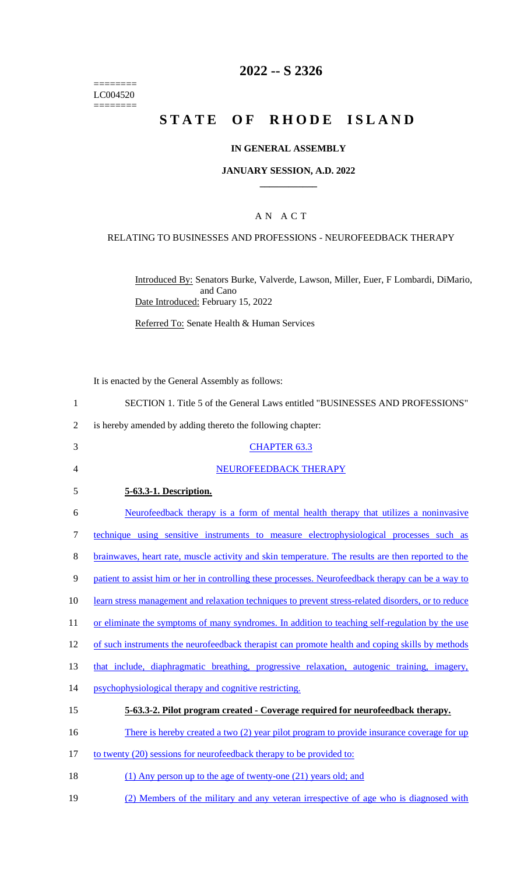======== LC004520  $=$ 

# **2022 -- S 2326**

# **STATE OF RHODE ISLAND**

#### **IN GENERAL ASSEMBLY**

#### **JANUARY SESSION, A.D. 2022 \_\_\_\_\_\_\_\_\_\_\_\_**

### A N A C T

# RELATING TO BUSINESSES AND PROFESSIONS - NEUROFEEDBACK THERAPY

Introduced By: Senators Burke, Valverde, Lawson, Miller, Euer, F Lombardi, DiMario, and Cano Date Introduced: February 15, 2022

Referred To: Senate Health & Human Services

It is enacted by the General Assembly as follows:

| $\mathbf{1}$   | SECTION 1. Title 5 of the General Laws entitled "BUSINESSES AND PROFESSIONS"                        |
|----------------|-----------------------------------------------------------------------------------------------------|
| $\overline{2}$ | is hereby amended by adding thereto the following chapter:                                          |
| 3              | <b>CHAPTER 63.3</b>                                                                                 |
| 4              | NEUROFEEDBACK THERAPY                                                                               |
| 5              | 5-63.3-1. Description.                                                                              |
| 6              | Neurofeedback therapy is a form of mental health therapy that utilizes a noninvasive                |
| 7              | technique using sensitive instruments to measure electrophysiological processes such as             |
| 8              | brainwaves, heart rate, muscle activity and skin temperature. The results are then reported to the  |
| 9              | patient to assist him or her in controlling these processes. Neurofeedback therapy can be a way to  |
| 10             | learn stress management and relaxation techniques to prevent stress-related disorders, or to reduce |
| 11             | or eliminate the symptoms of many syndromes. In addition to teaching self-regulation by the use     |
| 12             | of such instruments the neurofeedback therapist can promote health and coping skills by methods     |
| 13             | that include, diaphragmatic breathing, progressive relaxation, autogenic training, imagery,         |
| 14             | psychophysiological therapy and cognitive restricting.                                              |
| 15             | 5-63.3-2. Pilot program created - Coverage required for neurofeedback therapy.                      |
| 16             | There is hereby created a two (2) year pilot program to provide insurance coverage for up           |
| 17             | to twenty (20) sessions for neurofeedback therapy to be provided to:                                |
| 18             | (1) Any person up to the age of twenty-one (21) years old; and                                      |
|                |                                                                                                     |

19 (2) Members of the military and any veteran irrespective of age who is diagnosed with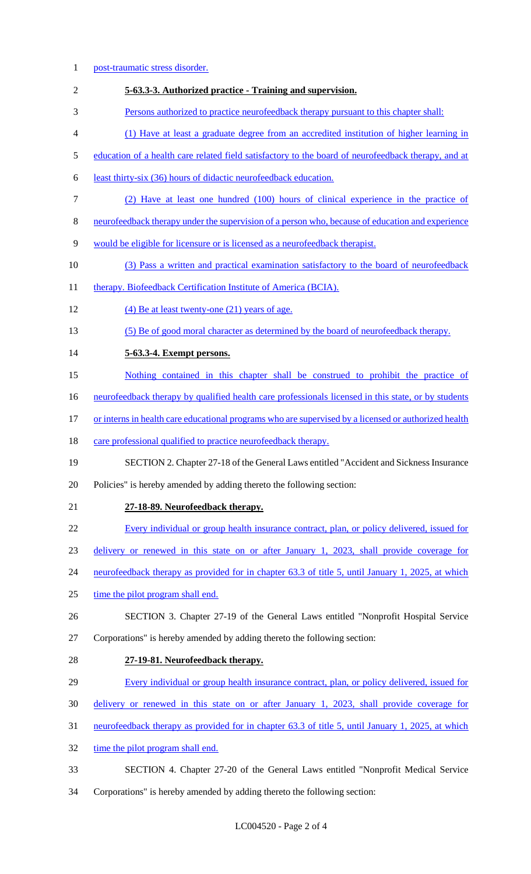post-traumatic stress disorder. **5-63.3-3. Authorized practice - Training and supervision.**  Persons authorized to practice neurofeedback therapy pursuant to this chapter shall: (1) Have at least a graduate degree from an accredited institution of higher learning in education of a health care related field satisfactory to the board of neurofeedback therapy, and at least thirty-six (36) hours of didactic neurofeedback education. (2) Have at least one hundred (100) hours of clinical experience in the practice of neurofeedback therapy under the supervision of a person who, because of education and experience would be eligible for licensure or is licensed as a neurofeedback therapist. (3) Pass a written and practical examination satisfactory to the board of neurofeedback 11 therapy. Biofeedback Certification Institute of America (BCIA). (4) Be at least twenty-one (21) years of age. (5) Be of good moral character as determined by the board of neurofeedback therapy. **5-63.3-4. Exempt persons.**  Nothing contained in this chapter shall be construed to prohibit the practice of neurofeedback therapy by qualified health care professionals licensed in this state, or by students 17 or interns in health care educational programs who are supervised by a licensed or authorized health 18 care professional qualified to practice neurofeedback therapy. SECTION 2. Chapter 27-18 of the General Laws entitled "Accident and Sickness Insurance Policies" is hereby amended by adding thereto the following section: **27-18-89. Neurofeedback therapy.**  Every individual or group health insurance contract, plan, or policy delivered, issued for delivery or renewed in this state on or after January 1, 2023, shall provide coverage for neurofeedback therapy as provided for in chapter 63.3 of title 5, until January 1, 2025, at which 25 time the pilot program shall end. SECTION 3. Chapter 27-19 of the General Laws entitled "Nonprofit Hospital Service Corporations" is hereby amended by adding thereto the following section: **27-19-81. Neurofeedback therapy.**  Every individual or group health insurance contract, plan, or policy delivered, issued for delivery or renewed in this state on or after January 1, 2023, shall provide coverage for neurofeedback therapy as provided for in chapter 63.3 of title 5, until January 1, 2025, at which 32 time the pilot program shall end. SECTION 4. Chapter 27-20 of the General Laws entitled "Nonprofit Medical Service Corporations" is hereby amended by adding thereto the following section: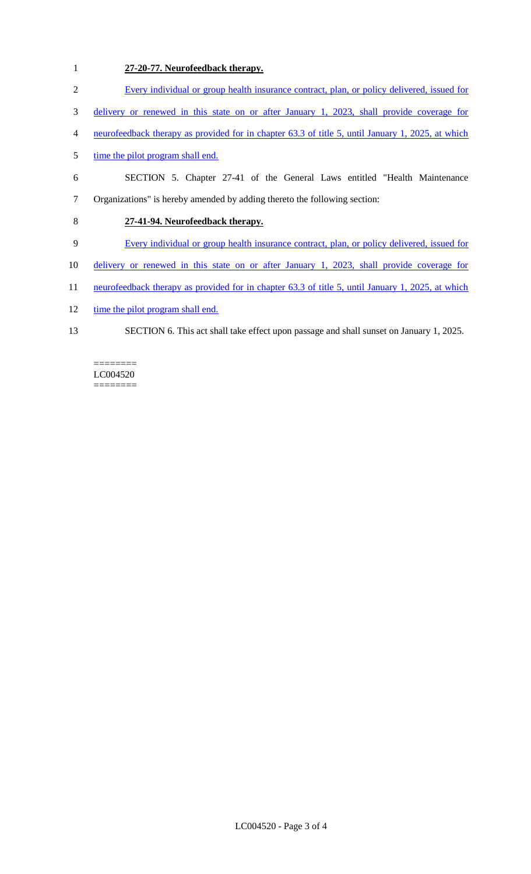# 1 **27-20-77. Neurofeedback therapy.**

- 2 Every individual or group health insurance contract, plan, or policy delivered, issued for
- 3 delivery or renewed in this state on or after January 1, 2023, shall provide coverage for
- 4 neurofeedback therapy as provided for in chapter 63.3 of title 5, until January 1, 2025, at which
- 5 time the pilot program shall end.
- 6 SECTION 5. Chapter 27-41 of the General Laws entitled "Health Maintenance 7 Organizations" is hereby amended by adding thereto the following section:

### 8 **27-41-94. Neurofeedback therapy.**

- 9 Every individual or group health insurance contract, plan, or policy delivered, issued for
- 10 delivery or renewed in this state on or after January 1, 2023, shall provide coverage for
- 11 neurofeedback therapy as provided for in chapter 63.3 of title 5, until January 1, 2025, at which
- 12 time the pilot program shall end.
- 13 SECTION 6. This act shall take effect upon passage and shall sunset on January 1, 2025.

LC004520 ========

 $=$